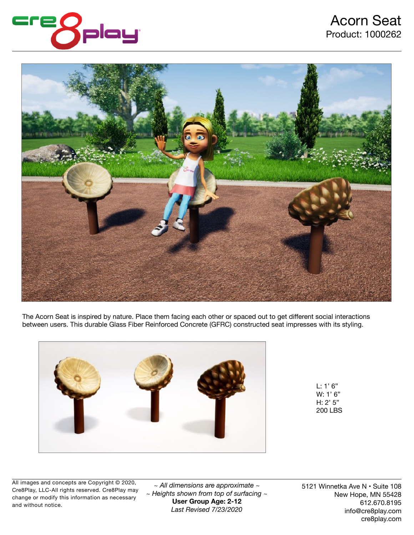

## Acorn Seat Product: 1000262



The Acorn Seat is inspired by nature. Place them facing each other or spaced out to get different social interactions between users. This durable Glass Fiber Reinforced Concrete (GFRC) constructed seat impresses with its styling.



L: 1' 6" W: 1' 6" H: 2' 5" 200 LBS

All images and concepts are Copyright © 2020, Cre8Play, LLC-All rights reserved. Cre8Play may change or modify this information as necessary and without notice.

*~ All dimensions are approximate ~ ~ Heights shown from top of surfacing ~*  **User Group Age: 2-12**  *Last Revised 7/23/2020*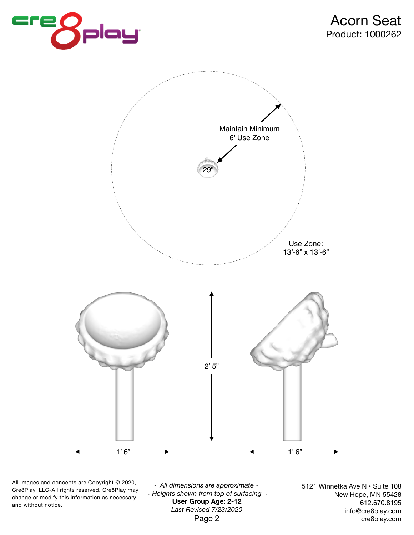



All images and concepts are Copyright © 2020, Cre8Play, LLC-All rights reserved. Cre8Play may change or modify this information as necessary and without notice.

*~ All dimensions are approximate ~ ~ Heights shown from top of surfacing ~*  **User Group Age: 2-12**  *Last Revised 7/23/2020*  Page 2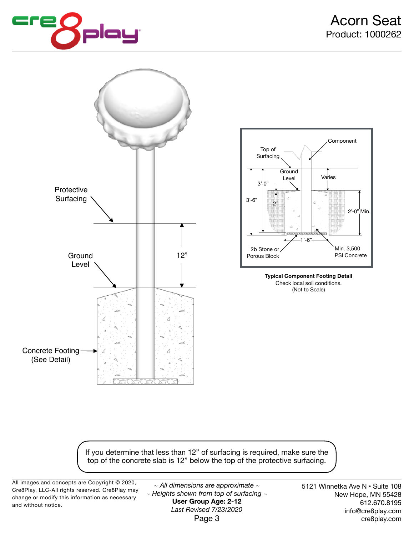



If you determine that less than 12" of surfacing is required, make sure the top of the concrete slab is 12" below the top of the protective surfacing.

All images and concepts are Copyright © 2020, Cre8Play, LLC-All rights reserved. Cre8Play may change or modify this information as necessary and without notice.

*~ All dimensions are approximate ~ ~ Heights shown from top of surfacing ~*  **User Group Age: 2-12**  *Last Revised 7/23/2020*  Page 3